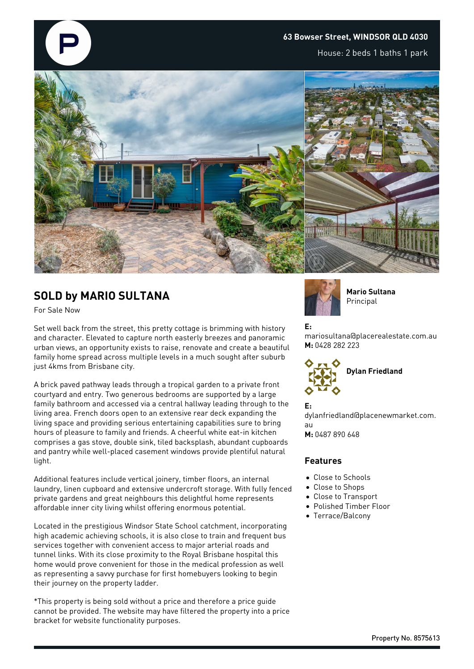#### **63 Bowser Street, WINDSOR QLD 4030**

House: 2 beds 1 baths 1 park



## **SOLD by MARIO SULTANA**

For Sale Now

Set well back from the street, this pretty cottage is brimming with history and character. Elevated to capture north easterly breezes and panoramic urban views, an opportunity exists to raise, renovate and create a beautiful family home spread across multiple levels in a much sought after suburb just 4kms from Brisbane city.

A brick paved pathway leads through a tropical garden to a private front courtyard and entry. Two generous bedrooms are supported by a large family bathroom and accessed via a central hallway leading through to the living area. French doors open to an extensive rear deck expanding the living space and providing serious entertaining capabilities sure to bring hours of pleasure to family and friends. A cheerful white eat-in kitchen comprises a gas stove, double sink, tiled backsplash, abundant cupboards and pantry while well-placed casement windows provide plentiful natural light.

Additional features include vertical joinery, timber floors, an internal laundry, linen cupboard and extensive undercroft storage. With fully fenced private gardens and great neighbours this delightful home represents affordable inner city living whilst offering enormous potential.

Located in the prestigious Windsor State School catchment, incorporating high academic achieving schools, it is also close to train and frequent bus services together with convenient access to major arterial roads and tunnel links. With its close proximity to the Royal Brisbane hospital this home would prove convenient for those in the medical profession as well as representing a savvy purchase for first homebuyers looking to begin their journey on the property ladder.

\*This property is being sold without a price and therefore a price guide cannot be provided. The website may have filtered the property into a price bracket for website functionality purposes.



**Mario Sultana** Principal

### **E:**

mariosultana@placerealestate.com.au **M:** 0428 282 223



**E:**

dylanfriedland@placenewmarket.com. au

**M:** 0487 890 648

#### **Features**

- Close to Schools
- Close to Shops
- Close to Transport
- Polished Timber Floor
- Terrace/Balcony